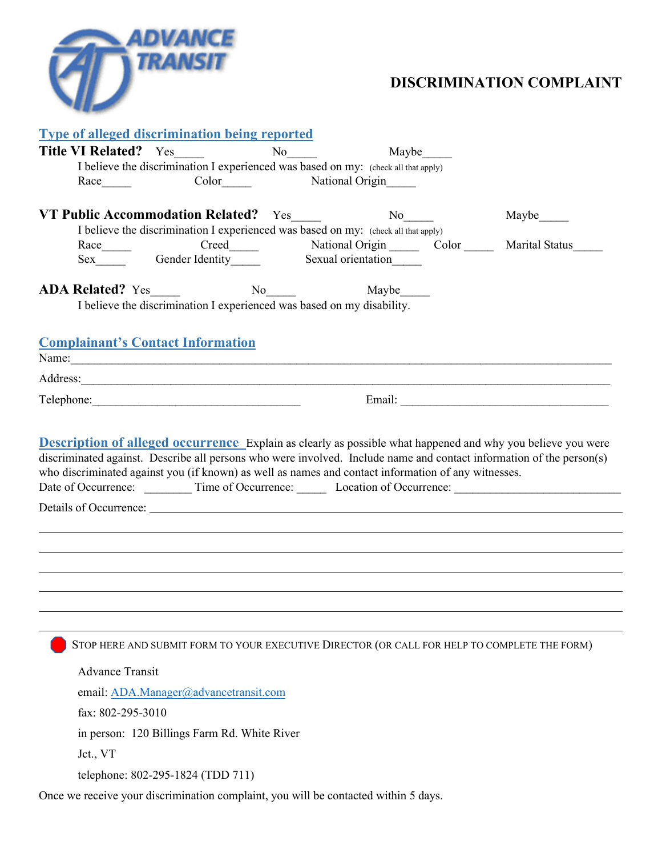

## **DISCRIMINATION COMPLAINT**

| <b>Type of alleged discrimination being reported</b>                                                                                                                                                                           |                           |       |             |
|--------------------------------------------------------------------------------------------------------------------------------------------------------------------------------------------------------------------------------|---------------------------|-------|-------------|
| <b>Title VI Related?</b> Yes                                                                                                                                                                                                   | No no                     | Maybe |             |
| I believe the discrimination I experienced was based on my: (check all that apply)                                                                                                                                             |                           |       |             |
| Race                                                                                                                                                                                                                           | Color National Origin     |       |             |
| VT Public Accommodation Related? Yes                                                                                                                                                                                           | $No \_$                   |       | Maybe______ |
| I believe the discrimination I experienced was based on my: (check all that apply)                                                                                                                                             |                           |       |             |
| $\text{Race}\_$                                                                                                                                                                                                                |                           |       |             |
|                                                                                                                                                                                                                                |                           |       |             |
| ADA Related? Yes_____                                                                                                                                                                                                          | $\overline{N_0}$<br>Maybe |       |             |
| I believe the discrimination I experienced was based on my disability.                                                                                                                                                         |                           |       |             |
|                                                                                                                                                                                                                                |                           |       |             |
| <b>Complainant's Contact Information</b>                                                                                                                                                                                       |                           |       |             |
| Name: Name and the same contract of the same contract of the same contract of the same contract of the same contract of the same contract of the same contract of the same contract of the same contract of the same contract  |                           |       |             |
| Address: No. 2016. The Committee of the Committee of the Committee of the Committee of the Committee of the Committee of the Committee of the Committee of the Committee of the Committee of the Committee of the Committee of |                           |       |             |
|                                                                                                                                                                                                                                |                           |       |             |
| who discriminated against you (if known) as well as names and contact information of any witnesses.<br>Date of Occurrence: __________ Time of Occurrence: _______ Location of Occurrence: ___________________________          |                           |       |             |
|                                                                                                                                                                                                                                |                           |       |             |
|                                                                                                                                                                                                                                |                           |       |             |
| STOP HERE AND SUBMIT FORM TO YOUR EXECUTIVE DIRECTOR (OR CALL FOR HELP TO COMPLETE THE FORM)                                                                                                                                   |                           |       |             |
| <b>Advance Transit</b>                                                                                                                                                                                                         |                           |       |             |
| email: ADA.Manager@advancetransit.com                                                                                                                                                                                          |                           |       |             |
| fax: 802-295-3010                                                                                                                                                                                                              |                           |       |             |
| in person: 120 Billings Farm Rd. White River                                                                                                                                                                                   |                           |       |             |
| Jct., VT                                                                                                                                                                                                                       |                           |       |             |
| telephone: 802-295-1824 (TDD 711)                                                                                                                                                                                              |                           |       |             |
| Once we receive your discrimination complaint, you will be contacted within 5 days.                                                                                                                                            |                           |       |             |
|                                                                                                                                                                                                                                |                           |       |             |